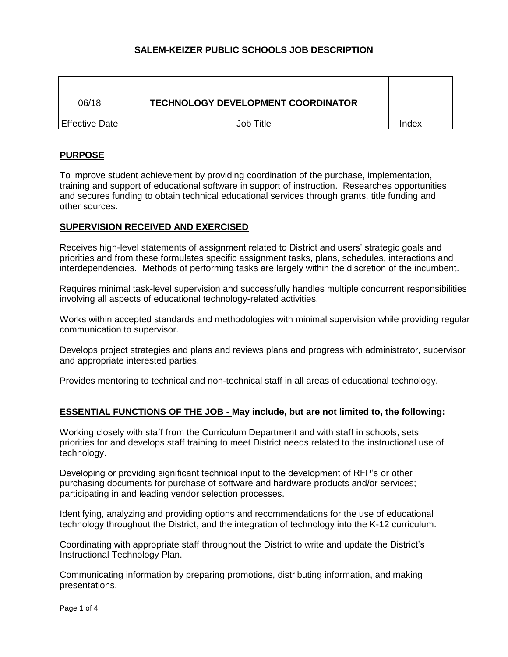# **SALEM-KEIZER PUBLIC SCHOOLS JOB DESCRIPTION**

| 06/18             | <b>TECHNOLOGY DEVELOPMENT COORDINATOR</b> |       |
|-------------------|-------------------------------------------|-------|
| l Effective Date∣ | Job Title                                 | Index |

## **PURPOSE**

To improve student achievement by providing coordination of the purchase, implementation, training and support of educational software in support of instruction. Researches opportunities and secures funding to obtain technical educational services through grants, title funding and other sources.

## **SUPERVISION RECEIVED AND EXERCISED**

Receives high-level statements of assignment related to District and users' strategic goals and priorities and from these formulates specific assignment tasks, plans, schedules, interactions and interdependencies. Methods of performing tasks are largely within the discretion of the incumbent.

Requires minimal task-level supervision and successfully handles multiple concurrent responsibilities involving all aspects of educational technology-related activities.

Works within accepted standards and methodologies with minimal supervision while providing regular communication to supervisor.

Develops project strategies and plans and reviews plans and progress with administrator, supervisor and appropriate interested parties.

Provides mentoring to technical and non-technical staff in all areas of educational technology.

### **ESSENTIAL FUNCTIONS OF THE JOB - May include, but are not limited to, the following:**

Working closely with staff from the Curriculum Department and with staff in schools, sets priorities for and develops staff training to meet District needs related to the instructional use of technology.

Developing or providing significant technical input to the development of RFP's or other purchasing documents for purchase of software and hardware products and/or services; participating in and leading vendor selection processes.

Identifying, analyzing and providing options and recommendations for the use of educational technology throughout the District, and the integration of technology into the K-12 curriculum.

Coordinating with appropriate staff throughout the District to write and update the District's Instructional Technology Plan.

Communicating information by preparing promotions, distributing information, and making presentations.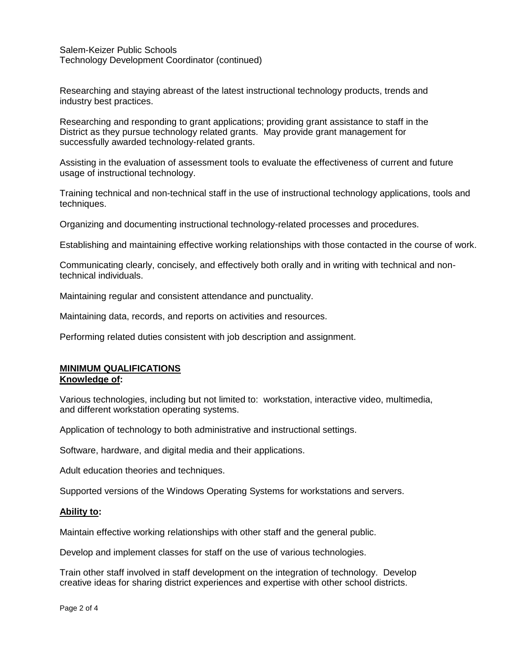Salem-Keizer Public Schools Technology Development Coordinator (continued)

Researching and staying abreast of the latest instructional technology products, trends and industry best practices.

Researching and responding to grant applications; providing grant assistance to staff in the District as they pursue technology related grants. May provide grant management for successfully awarded technology-related grants.

Assisting in the evaluation of assessment tools to evaluate the effectiveness of current and future usage of instructional technology.

Training technical and non-technical staff in the use of instructional technology applications, tools and techniques.

Organizing and documenting instructional technology-related processes and procedures.

Establishing and maintaining effective working relationships with those contacted in the course of work.

Communicating clearly, concisely, and effectively both orally and in writing with technical and nontechnical individuals.

Maintaining regular and consistent attendance and punctuality.

Maintaining data, records, and reports on activities and resources.

Performing related duties consistent with job description and assignment.

### **MINIMUM QUALIFICATIONS Knowledge of:**

Various technologies, including but not limited to: workstation, interactive video, multimedia, and different workstation operating systems.

Application of technology to both administrative and instructional settings.

Software, hardware, and digital media and their applications.

Adult education theories and techniques.

Supported versions of the Windows Operating Systems for workstations and servers.

### **Ability to:**

Maintain effective working relationships with other staff and the general public.

Develop and implement classes for staff on the use of various technologies.

Train other staff involved in staff development on the integration of technology. Develop creative ideas for sharing district experiences and expertise with other school districts.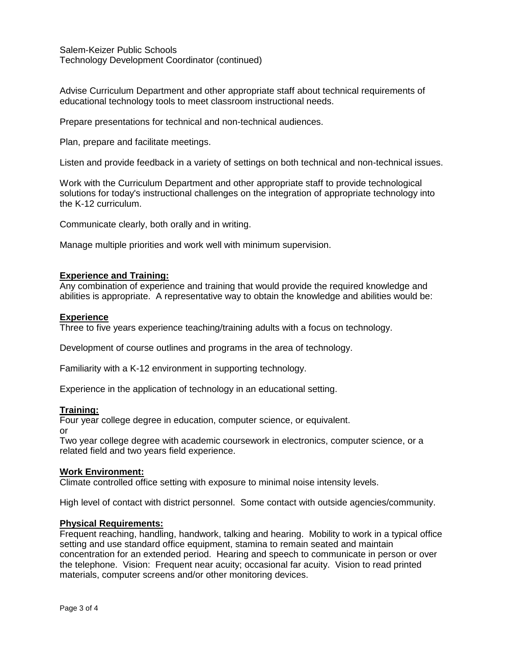Salem-Keizer Public Schools Technology Development Coordinator (continued)

Advise Curriculum Department and other appropriate staff about technical requirements of educational technology tools to meet classroom instructional needs.

Prepare presentations for technical and non-technical audiences.

Plan, prepare and facilitate meetings.

Listen and provide feedback in a variety of settings on both technical and non-technical issues.

Work with the Curriculum Department and other appropriate staff to provide technological solutions for today's instructional challenges on the integration of appropriate technology into the K-12 curriculum.

Communicate clearly, both orally and in writing.

Manage multiple priorities and work well with minimum supervision.

### **Experience and Training:**

Any combination of experience and training that would provide the required knowledge and abilities is appropriate. A representative way to obtain the knowledge and abilities would be:

### **Experience**

Three to five years experience teaching/training adults with a focus on technology.

Development of course outlines and programs in the area of technology.

Familiarity with a K-12 environment in supporting technology.

Experience in the application of technology in an educational setting.

### **Training:**

Four year college degree in education, computer science, or equivalent.

or

Two year college degree with academic coursework in electronics, computer science, or a related field and two years field experience.

### **Work Environment:**

Climate controlled office setting with exposure to minimal noise intensity levels.

High level of contact with district personnel. Some contact with outside agencies/community.

### **Physical Requirements:**

Frequent reaching, handling, handwork, talking and hearing. Mobility to work in a typical office setting and use standard office equipment, stamina to remain seated and maintain concentration for an extended period. Hearing and speech to communicate in person or over the telephone. Vision: Frequent near acuity; occasional far acuity. Vision to read printed materials, computer screens and/or other monitoring devices.